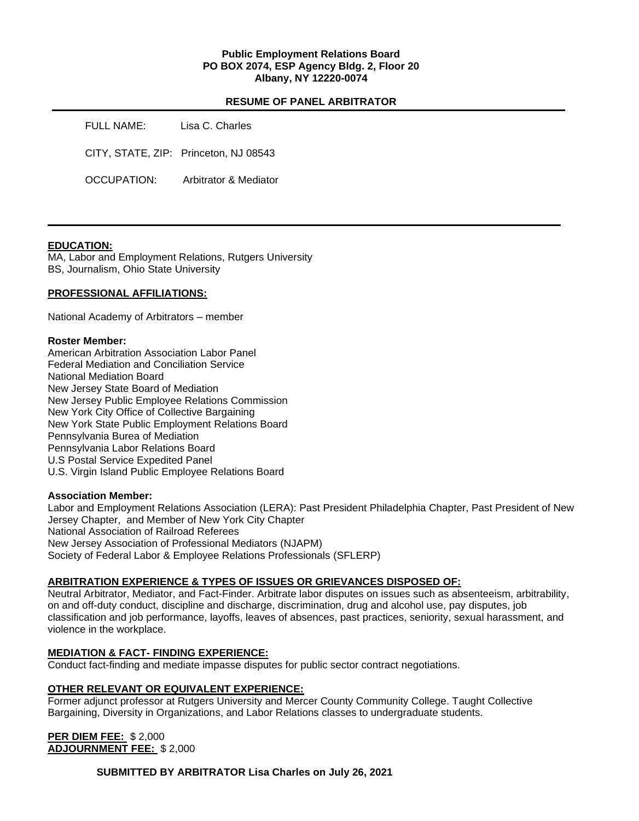# **Public Employment Relations Board PO BOX 2074, ESP Agency Bldg. 2, Floor 20 Albany, NY 12220-0074**

# **RESUME OF PANEL ARBITRATOR**

| FULL NAME:  | Lisa C. Charles                       |
|-------------|---------------------------------------|
|             | CITY, STATE, ZIP: Princeton, NJ 08543 |
| OCCUPATION: | Arbitrator & Mediator                 |

## **EDUCATION:**

MA, Labor and Employment Relations, Rutgers University BS, Journalism, Ohio State University

### **PROFESSIONAL AFFILIATIONS:**

National Academy of Arbitrators – member

#### **Roster Member:**

American Arbitration Association Labor Panel Federal Mediation and Conciliation Service National Mediation Board New Jersey State Board of Mediation New Jersey Public Employee Relations Commission New York City Office of Collective Bargaining New York State Public Employment Relations Board Pennsylvania Burea of Mediation Pennsylvania Labor Relations Board U.S Postal Service Expedited Panel U.S. Virgin Island Public Employee Relations Board

### **Association Member:**

Labor and Employment Relations Association (LERA): Past President Philadelphia Chapter, Past President of New Jersey Chapter, and Member of New York City Chapter National Association of Railroad Referees New Jersey Association of Professional Mediators (NJAPM) Society of Federal Labor & Employee Relations Professionals (SFLERP)

## **ARBITRATION EXPERIENCE & TYPES OF ISSUES OR GRIEVANCES DISPOSED OF:**

Neutral Arbitrator, Mediator, and Fact-Finder. Arbitrate labor disputes on issues such as absenteeism, arbitrability, on and off-duty conduct, discipline and discharge, discrimination, drug and alcohol use, pay disputes, job classification and job performance, layoffs, leaves of absences, past practices, seniority, sexual harassment, and violence in the workplace.

### **MEDIATION & FACT- FINDING EXPERIENCE:**

Conduct fact-finding and mediate impasse disputes for public sector contract negotiations.

### **OTHER RELEVANT OR EQUIVALENT EXPERIENCE:**

Former adjunct professor at Rutgers University and Mercer County Community College. Taught Collective Bargaining, Diversity in Organizations, and Labor Relations classes to undergraduate students.

**PER DIEM FEE:** \$ 2,000 **ADJOURNMENT FEE:** \$ 2,000

**SUBMITTED BY ARBITRATOR Lisa Charles on July 26, 2021**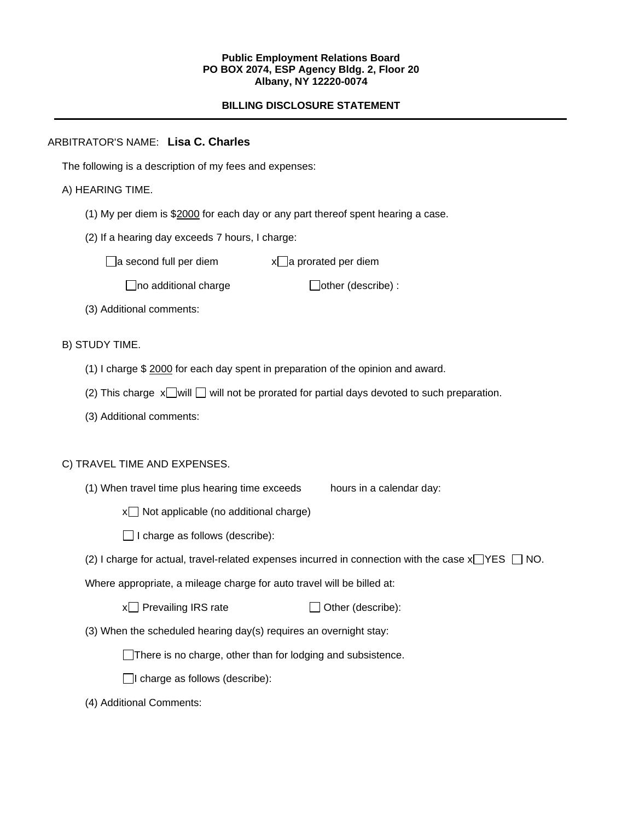### **Public Employment Relations Board PO BOX 2074, ESP Agency Bldg. 2, Floor 20 Albany, NY 12220-0074**

# **BILLING DISCLOSURE STATEMENT**

# ARBITRATOR'S NAME: **Lisa C. Charles**

The following is a description of my fees and expenses:

# A) HEARING TIME.

- (1) My per diem is \$2000 for each day or any part thereof spent hearing a case.
- (2) If a hearing day exceeds 7 hours, I charge:

 $\Box$ a second full per diem  $x\Box$ a prorated per diem

 $\Box$ no additional charge  $\Box$ other (describe) :

(3) Additional comments:

B) STUDY TIME.

- (1) I charge \$ 2000 for each day spent in preparation of the opinion and award.
- (2) This charge  $x$  will  $\Box$  will not be prorated for partial days devoted to such preparation.
- (3) Additional comments:

## C) TRAVEL TIME AND EXPENSES.

(1) When travel time plus hearing time exceeds hours in a calendar day:

 $x \Box$  Not applicable (no additional charge)

 $\Box$  I charge as follows (describe):

(2) I charge for actual, travel-related expenses incurred in connection with the case  $x \rightarrow YES$   $\Box$  NO.

Where appropriate, a mileage charge for auto travel will be billed at:

| x□ Prevailing IRS rate | $\Box$ Other (describe): |
|------------------------|--------------------------|
|------------------------|--------------------------|

(3) When the scheduled hearing day(s) requires an overnight stay:

There is no charge, other than for lodging and subsistence.

 $\Box$ I charge as follows (describe):

(4) Additional Comments: